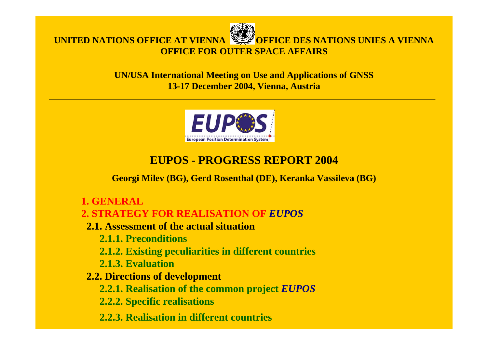

#### **UN/USA International Meeting on Use and Applications of GNSS 13-17 December 2004, Vienna, Austria**



# **EUPOS - PROGRESS REPORT 2004**

**Georgi Milev (BG), Gerd Rosenthal (DE), Keranka Vassileva (BG)**

**1. GENERAL**

#### **2. STRATEGY FOR REALISATION OF** *EUPOS*

- **2.1. Assessment of the actual situation** 
	- **2.1.1. Preconditions**
	- **2.1.2. Existing peculiarities in different countries**
	- **2.1.3. Evaluation**
- **2.2. Directions of development**
	- **2.2.1. Realisation of the common project** *EUPOS*
	- **2.2.2. Specific realisations**
	- **2.2.3. Realisation in different countries**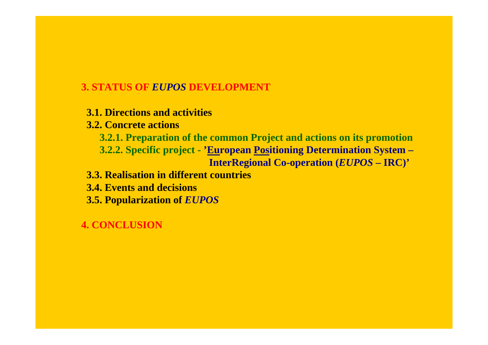### **3. STATUS OF** *EUPOS* **DEVELOPMENT**

- **3.1. Directions and activities**
- **3.2. Concrete actions**
	- **3.2.1. Preparation of the common Project and actions on its promotion 3.2.2. Specific project - 'European Positioning Determination System – InterRegional Co-operation (***EUPOS* **– IRC)'**
- **3.3. Realisation in different countries**
- **3.4. Events and decisions**
- **3.5. Popularization of** *EUPOS*

# **4. CONCLUSION**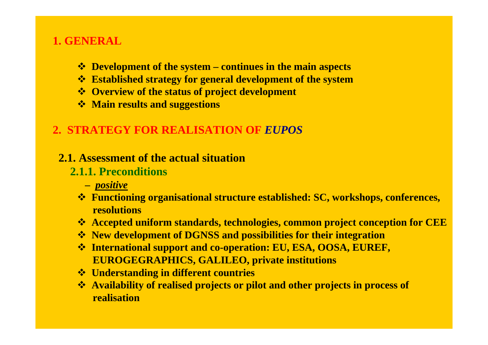# **1. GENERAL**

- **Development of the system – continues in the main aspects**
- **Established strategy for general development of the system**
- **Overview of the status of project development**
- **Main results and suggestions**

# **2. STRATEGY FOR REALISATION OF** *EUPOS*

### **2.1. Assessment of the actual situation**

# **2.1.1. Preconditions**

- **–** *positive*
- **Functioning organisational structure established: SC, workshops, conferences, resolutions**
- **Accepted uniform standards, technologies, common project conception for CEE**
- **New development of DGNSS and possibilities for their integration**
- **International support and co-operation: EU, ESA, OOSA, EUREF, EUROGEGRAPHICS, GALILEO, private institutions**
- **Understanding in different countries**
- **Availability of realised projects or pilot and other projects in process of realisation**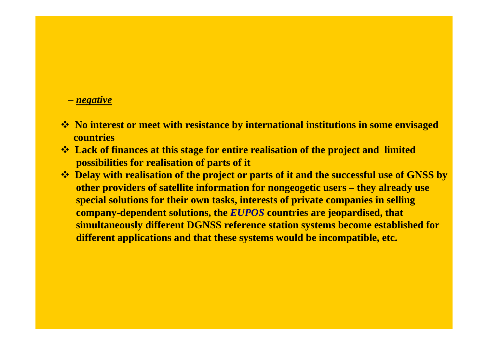- *– negative*
- **\*** No interest or meet with resistance by international institutions in some envisaged **countries**
- **<sup>** $\triangle$ **</sup> Lack of finances at this stage for entire realisation of the project and limited possibilities for realisation of parts of it**
- $\cdot$  **Delay with realisation of the project or parts of it and the successful use of GNSS by other providers of satellite information for nongeogetic users – they already use special solutions for their own tasks, interests of private companies in selling company-dependent solutions, the** *EUPOS* **countries are jeopardised, that simultaneously different DGNSS reference station systems become established for different applications and that these systems would be incompatible, etc.**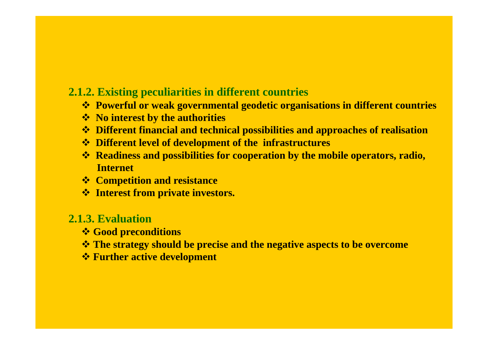## **2.1.2. Existing peculiarities in different countries**

- **Powerful or weak governmental geodetic organisations in different countries**
- **No interest by the authorities**
- **Different financial and technical possibilities and approaches of realisation**
- **Different level of development of the infrastructures**
- **Readiness and possibilities for cooperation by the mobile operators, radio, Internet**
- **Competition and resistance**
- **Interest from private investors.**

### **2.1.3. Evaluation**

- **Good preconditions**
- **The strategy should be precise and the negative aspects to be overcome**
- **Further active development**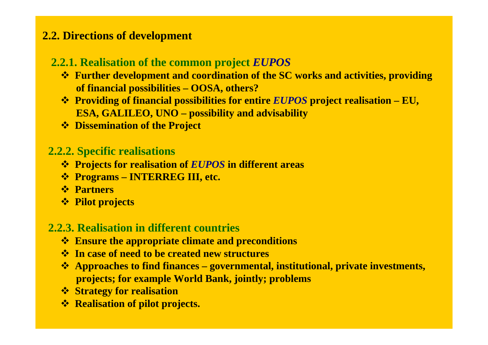# **2.2. Directions of development**

# **2.2.1. Realisation of the common project** *EUPOS*

- **Further development and coordination of the SC works and activities, providing of financial possibilities – OOSA, others?**
- **Providing of financial possibilities for entire** *EUPOS* **project realisation – EU, ESA, GALILEO, UNO – possibility and advisability**
- **Dissemination of the Project**

# **2.2.2. Specific realisations**

- **Projects for realisation of** *EUPOS* **in different areas**
- **Programs – INTERREG III, etc.**
- **Partners**
- **Pilot projects**

# **2.2.3. Realisation in different countries**

- **Ensure the appropriate climate and preconditions**
- **In case of need to be created new structures**
- **Approaches to find finances – governmental, institutional, private investments, projects; for example World Bank, jointly; problems**
- **Strategy for realisation**
- **\*** Realisation of pilot projects.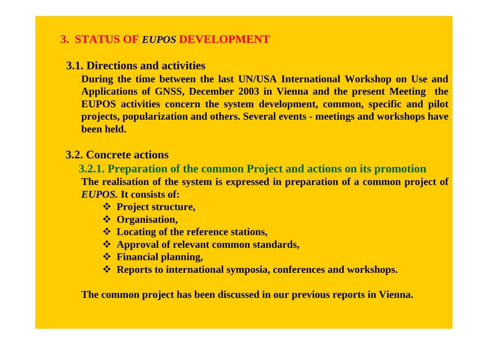# **3. STATUS OF** *EUPOS* **DEVELOPMENT**

# **3.1. Directions and activities**

**During the time between the last UN/USA International Workshop on Use and Applications of GNSS, December 2003 in Vienna and the present Meeting the EUPOS activities concern the system development, common, specific and pilot projects, popularization and others. Several events - meetings and workshops have been held.**

## **3.2. Concrete actions**

**3.2.1. Preparation of the common Project and actions on its promotion The realisation of the system is expressed in preparation of a common project of**  *EUPOS.* **It consists of:**

- **Project structure,**
- **Organisation,**
- **Locating of the reference stations,**
- **Approval of relevant common standards,**
- **Financial planning,**
- **Reports to international symposia, conferences and workshops.**

**The common project has been discussed in our previous reports in Vienna.**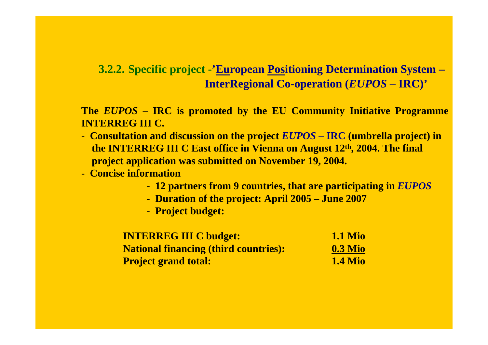# **3.2.2. Specific project -'European Positioning Determination System – InterRegional Co-operation (***EUPOS* **– IRC)'**

**The** *EUPOS* **– IRC is promoted by the EU Community Initiative Programme INTERREG III C.** 

- **Consultation and discussion on the project** *EUPOS* **– IRC (umbrella project) in the INTERREG III C East office in Vienna on August 12th, 2004. The final project application was submitted on November 19, 2004.**
- **- Concise information** 
	- **- 12 partners from 9 countries, that are participating in** *EUPOS*
	- **- Duration of the project: April 2005 – June 2007**
	- **- Project budget:**

| <b>INTERREG III C budget:</b>                | <b>1.1 Mio</b> |
|----------------------------------------------|----------------|
| <b>National financing (third countries):</b> | $0.3$ Mio      |
| <b>Project grand total:</b>                  | <b>1.4 Mio</b> |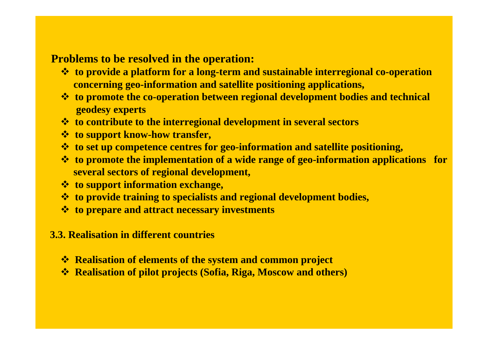## **Problems to be resolved in the operation:**

- **to provide a platform for a long-term and sustainable interregional co-operation concerning geo-information and satellite positioning applications,**
- **to promote the co-operation between regional development bodies and technical geodesy experts**
- **to contribute to the interregional development in several sectors**
- **to support know-how transfer,**
- **to set up competence centres for geo-information and satellite positioning,**
- **to promote the implementation of a wide range of geo-information applications for several sectors of regional development,**
- **to support information exchange,**
- **to provide training to specialists and regional development bodies,**
- **to prepare and attract necessary investments**
- **3.3. Realisation in different countries**
	- $\triangle$  **Realisation of elements of the system and common project**
	- **Realisation of pilot projects (Sofia, Riga, Moscow and others)**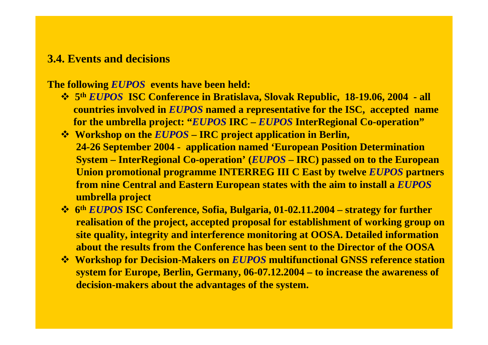#### **3.4. Events and decisions**

**The following** *EUPOS* **events have been held:** 

- **5th** *EUPOS* **ISC Conference in Bratislava, Slovak Republic, 18-19.06, 2004 - all countries involved in** *EUPOS* **named a representative for the ISC, accepted name for the umbrella project: "***EUPOS* **IRC –** *EUPOS* **InterRegional Co-operation"**
- **Workshop on the** *EUPOS* **– IRC project application in Berlin, 24-26 September 2004 - application named 'European Position Determination System – InterRegional Co-operation' (***EUPOS* **– IRC) passed on to the European Union promotional programme INTERREG III C East by twelve** *EUPOS* **partners from nine Central and Eastern European states with the aim to install a** *EUPOS* **umbrella project**
- **6th** *EUPOS* **ISC Conference, Sofia, Bulgaria, 01-02.11.2004 – strategy for further realisation of the project, accepted proposal for establishment of working group on site quality, integrity and interference monitoring at OOSA. Detailed information about the results from the Conference has been sent to the Director of the OOSA**
- **Workshop for Decision-Makers on** *EUPOS* **multifunctional GNSS reference station system for Europe, Berlin, Germany, 06-07.12.2004 – to increase the awareness of decision-makers about the advantages of the system.**